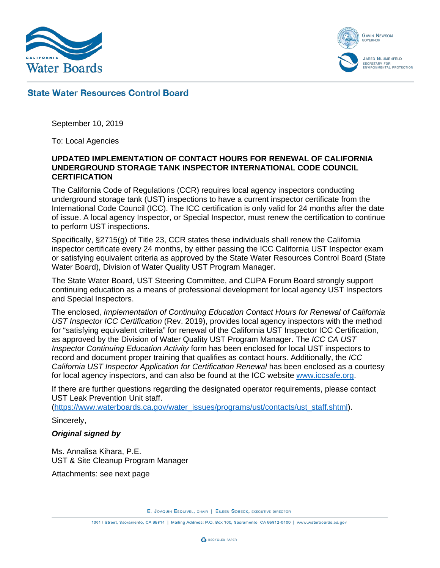



## **State Water Resources Control Board**

September 10, 2019

To: Local Agencies

## **UPDATED IMPLEMENTATION OF CONTACT HOURS FOR RENEWAL OF CALIFORNIA UNDERGROUND STORAGE TANK INSPECTOR INTERNATIONAL CODE COUNCIL CERTIFICATION**

The California Code of Regulations (CCR) requires local agency inspectors conducting underground storage tank (UST) inspections to have a current inspector certificate from the International Code Council (ICC). The ICC certification is only valid for 24 months after the date of issue. A local agency Inspector, or Special Inspector, must renew the certification to continue to perform UST inspections.

Specifically, §2715(g) of Title 23, CCR states these individuals shall renew the California inspector certificate every 24 months, by either passing the ICC California UST Inspector exam or satisfying equivalent criteria as approved by the State Water Resources Control Board (State Water Board), Division of Water Quality UST Program Manager.

The State Water Board, UST Steering Committee, and CUPA Forum Board strongly support continuing education as a means of professional development for local agency UST Inspectors and Special Inspectors.

The enclosed, *Implementation of Continuing Education Contact Hours for Renewal of California UST Inspector ICC Certification* (Rev. 2019), provides local agency inspectors with the method for "satisfying equivalent criteria" for renewal of the California UST Inspector ICC Certification, as approved by the Division of Water Quality UST Program Manager. The *ICC CA UST Inspector Continuing Education Activity* form has been enclosed for local UST inspectors to record and document proper training that qualifies as contact hours. Additionally, the *ICC California UST Inspector Application for Certification Renewal* has been enclosed as a courtesy for local agency inspectors, and can also be found at the ICC website [www.iccsafe.org.](https://www.iccsafe.org/)

If there are further questions regarding the designated operator requirements, please contact UST Leak Prevention Unit staff.

[\(https://www.waterboards.ca.gov/water\\_issues/programs/ust/contacts/ust\\_staff.shtml\)](https://www.waterboards.ca.gov/water_issues/programs/ust/contacts/ust_staff.shtml).

Sincerely,

## *Original signed by*

Ms. Annalisa Kihara, P.E. UST & Site Cleanup Program Manager

Attachments: see next page

E. JOAQUIN ESQUIVEL, CHAIR | EILEEN SOBECK, EXECUTIVE DIRECTOR